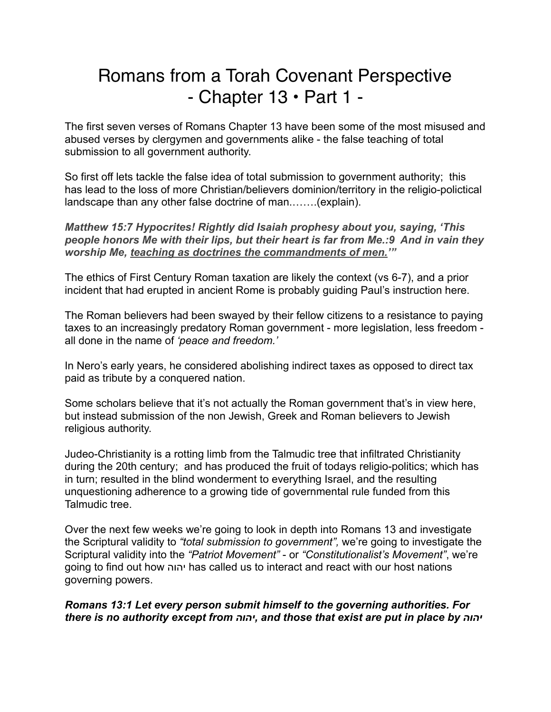# Romans from a Torah Covenant Perspective  $-$  Chapter 13  $\cdot$  Part 1  $-$

The first seven verses of Romans Chapter 13 have been some of the most misused and abused verses by clergymen and governments alike - the false teaching of total submission to all government authority.

So first off lets tackle the false idea of total submission to government authority; this has lead to the loss of more Christian/believers dominion/territory in the religio-polictical landscape than any other false doctrine of man.…….(explain).

*Matthew 15:7 Hypocrites! Rightly did Isaiah prophesy about you, saying, 'This people honors Me with their lips, but their heart is far from Me.:9 And in vain they worship Me, teaching as doctrines the commandments of men.'"*

The ethics of First Century Roman taxation are likely the context (vs 6-7), and a prior incident that had erupted in ancient Rome is probably guiding Paul's instruction here.

The Roman believers had been swayed by their fellow citizens to a resistance to paying taxes to an increasingly predatory Roman government - more legislation, less freedom all done in the name of *'peace and freedom.'* 

In Nero's early years, he considered abolishing indirect taxes as opposed to direct tax paid as tribute by a conquered nation.

Some scholars believe that it's not actually the Roman government that's in view here, but instead submission of the non Jewish, Greek and Roman believers to Jewish religious authority.

Judeo-Christianity is a rotting limb from the Talmudic tree that infiltrated Christianity during the 20th century; and has produced the fruit of todays religio-politics; which has in turn; resulted in the blind wonderment to everything Israel, and the resulting unquestioning adherence to a growing tide of governmental rule funded from this Talmudic tree.

Over the next few weeks we're going to look in depth into Romans 13 and investigate the Scriptural validity to *"total submission to government",* we're going to investigate the Scriptural validity into the *"Patriot Movement"* - or *"Constitutionalist's Movement"*, we're going to find out how יהוה has called us to interact and react with our host nations governing powers.

*Romans 13:1 Let every person submit himself to the governing authorities. For there is no authority except from יהוה, and those that exist are put in place by יהוה*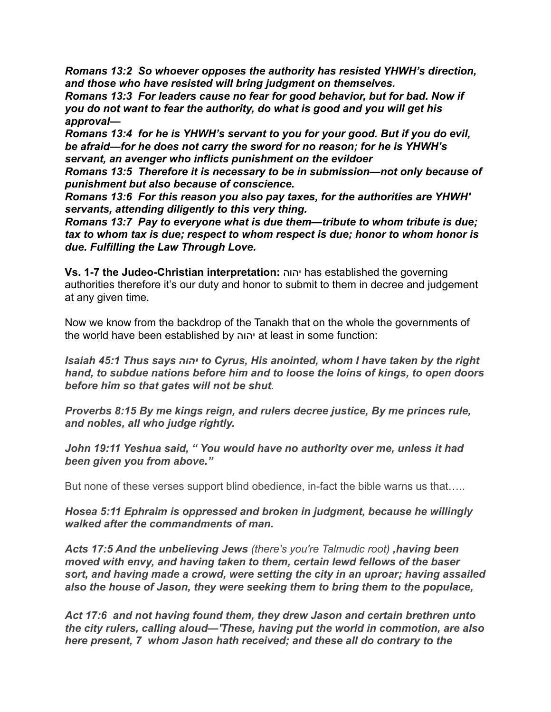*Romans 13:2 So whoever opposes the authority has resisted YHWH's direction, and those who have resisted will bring judgment on themselves.* 

*Romans 13:3 For leaders cause no fear for good behavior, but for bad. Now if you do not want to fear the authority, do what is good and you will get his approval—*

*Romans 13:4 for he is YHWH's servant to you for your good. But if you do evil, be afraid—for he does not carry the sword for no reason; for he is YHWH's servant, an avenger who inflicts punishment on the evildoer* 

*Romans 13:5 Therefore it is necessary to be in submission—not only because of punishment but also because of conscience.* 

*Romans 13:6 For this reason you also pay taxes, for the authorities are YHWH' servants, attending diligently to this very thing.*

*Romans 13:7 Pay to everyone what is due them—tribute to whom tribute is due; tax to whom tax is due; respect to whom respect is due; honor to whom honor is due. Fulfilling the Law Through Love.* 

**Vs. 1-7 the Judeo-Christian interpretation:** יהוה has established the governing authorities therefore it's our duty and honor to submit to them in decree and judgement at any given time.

Now we know from the backdrop of the Tanakh that on the whole the governments of the world have been established by יהוה at least in some function:

*Isaiah 45:1 Thus says יהוה to Cyrus, His anointed, whom I have taken by the right hand, to subdue nations before him and to loose the loins of kings, to open doors before him so that gates will not be shut.* 

*Proverbs 8:15 By me kings reign, and rulers decree justice, By me princes rule, and nobles, all who judge rightly.* 

*John 19:11 Yeshua said, " You would have no authority over me, unless it had been given you from above."* 

But none of these verses support blind obedience, in-fact the bible warns us that…..

*Hosea 5:11 Ephraim is oppressed and broken in judgment, because he willingly walked after the commandments of man.* 

*Acts 17:5 And the unbelieving Jews (there's you're Talmudic root) ,having been moved with envy, and having taken to them, certain lewd fellows of the baser sort, and having made a crowd, were setting the city in an uproar; having assailed also the house of Jason, they were seeking them to bring them to the populace,*

*Act 17:6 and not having found them, they drew Jason and certain brethren unto the city rulers, calling aloud—'These, having put the world in commotion, are also here present, 7 whom Jason hath received; and these all do contrary to the*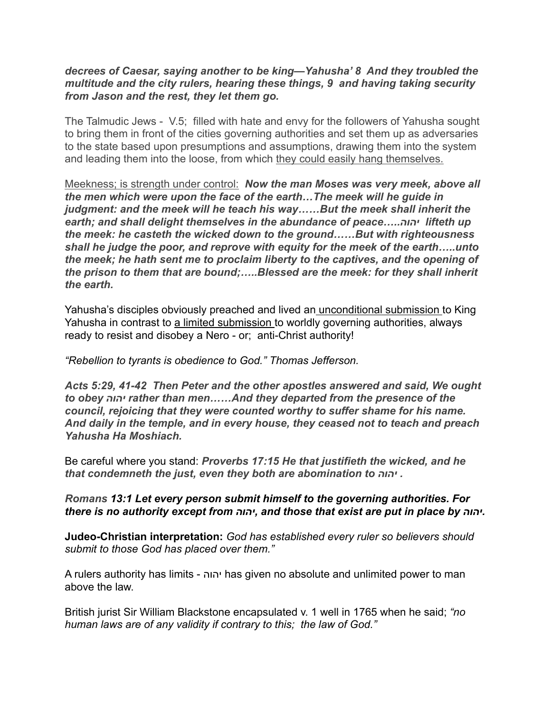### *decrees of Caesar, saying another to be king—Yahusha' 8 And they troubled the multitude and the city rulers, hearing these things, 9 and having taking security from Jason and the rest, they let them go.*

The Talmudic Jews - V.5; filled with hate and envy for the followers of Yahusha sought to bring them in front of the cities governing authorities and set them up as adversaries to the state based upon presumptions and assumptions, drawing them into the system and leading them into the loose, from which they could easily hang themselves.

Meekness; is strength under control: *Now the man Moses was very meek, above all the men which were upon the face of the earth…The meek will he guide in judgment: and the meek will he teach his way……But the meek shall inherit the earth; and shall delight themselves in the abundance of peace…..יהוה lifteth up the meek: he casteth the wicked down to the ground……But with righteousness shall he judge the poor, and reprove with equity for the meek of the earth…..unto the meek; he hath sent me to proclaim liberty to the captives, and the opening of the prison to them that are bound;…..Blessed are the meek: for they shall inherit the earth.* 

Yahusha's disciples obviously preached and lived an unconditional submission to King Yahusha in contrast to a limited submission to worldly governing authorities, always ready to resist and disobey a Nero - or; anti-Christ authority!

### *"Rebellion to tyrants is obedience to God." Thomas Jefferson.*

*Acts 5:29, 41-42 Then Peter and the other apostles answered and said, We ought to obey יהוה rather than men……And they departed from the presence of the council, rejoicing that they were counted worthy to suffer shame for his name. And daily in the temple, and in every house, they ceased not to teach and preach Yahusha Ha Moshiach.*

Be careful where you stand: *Proverbs 17:15 He that justifieth the wicked, and he that condemneth the just, even they both are abomination to יהוה .*

## *Romans 13:1 Let every person submit himself to the governing authorities. For there is no authority except from יהוה, and those that exist are put in place by יהוה.*

**Judeo-Christian interpretation:** *God has established every ruler so believers should submit to those God has placed over them."* 

A rulers authority has limits - יהוה has given no absolute and unlimited power to man above the law.

British jurist Sir William Blackstone encapsulated v. 1 well in 1765 when he said; *"no human laws are of any validity if contrary to this; the law of God."*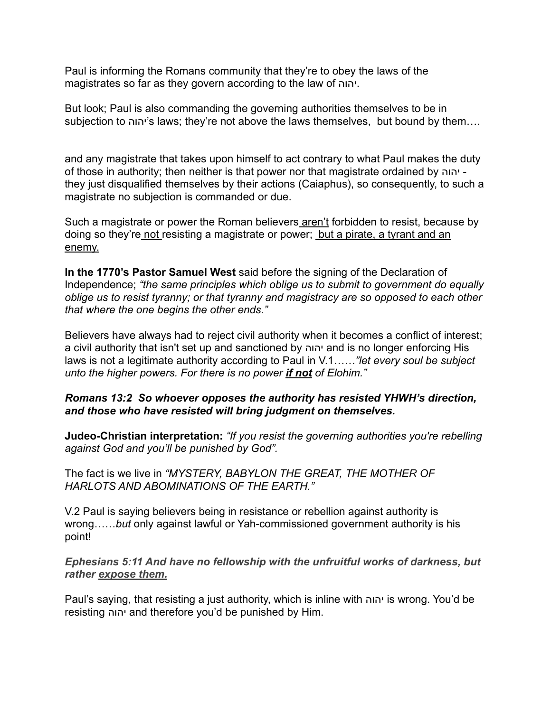Paul is informing the Romans community that they're to obey the laws of the magistrates so far as they govern according to the law of יהוה.

But look; Paul is also commanding the governing authorities themselves to be in subjection to יהוה's laws; they're not above the laws themselves, but bound by them….

and any magistrate that takes upon himself to act contrary to what Paul makes the duty of those in authority; then neither is that power nor that magistrate ordained by יהוה they just disqualified themselves by their actions (Caiaphus), so consequently, to such a magistrate no subjection is commanded or due.

Such a magistrate or power the Roman believers aren't forbidden to resist, because by doing so they're not resisting a magistrate or power; but a pirate, a tyrant and an enemy.

**In the 1770's Pastor Samuel West** said before the signing of the Declaration of Independence; *"the same principles which oblige us to submit to government do equally oblige us to resist tyranny; or that tyranny and magistracy are so opposed to each other that where the one begins the other ends."* 

Believers have always had to reject civil authority when it becomes a conflict of interest; a civil authority that isn't set up and sanctioned by יהוה and is no longer enforcing His laws is not a legitimate authority according to Paul in V.1……*"let every soul be subject unto the higher powers. For there is no power if not of Elohim."* 

## *Romans 13:2 So whoever opposes the authority has resisted YHWH's direction, and those who have resisted will bring judgment on themselves.*

**Judeo-Christian interpretation:** *"If you resist the governing authorities you're rebelling against God and you'll be punished by God".* 

The fact is we live in *"MYSTERY, BABYLON THE GREAT, THE MOTHER OF HARLOTS AND ABOMINATIONS OF THE EARTH."* 

V.2 Paul is saying believers being in resistance or rebellion against authority is wrong……*but* only against lawful or Yah-commissioned government authority is his point!

*Ephesians 5:11 And have no fellowship with the unfruitful works of darkness, but rather expose them.*

Paul's saying, that resisting a just authority, which is inline with יהוה is wrong. You'd be resisting יהוה and therefore you'd be punished by Him.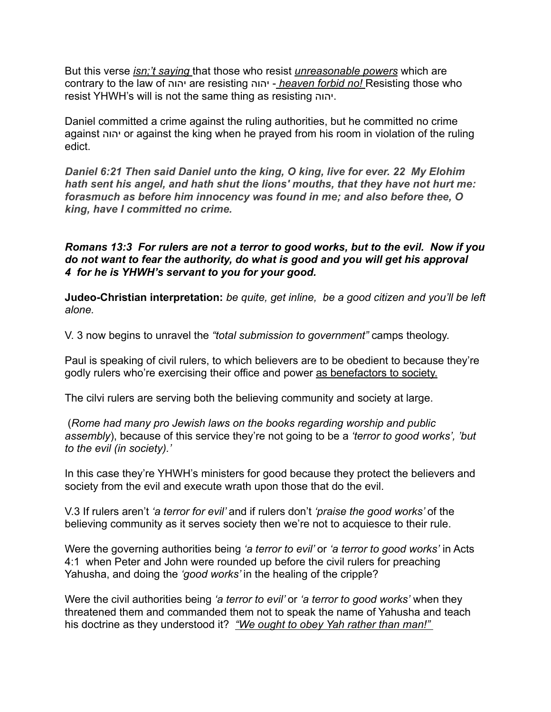But this verse *isn;'t saying* that those who resist *unreasonable powers* which are contrary to the law of יהוה are resisting יהוה - *heaven forbid no!* Resisting those who resist YHWH's will is not the same thing as resisting יהוה.

Daniel committed a crime against the ruling authorities, but he committed no crime against יהוה or against the king when he prayed from his room in violation of the ruling edict.

*Daniel 6:21 Then said Daniel unto the king, O king, live for ever. 22 My Elohim hath sent his angel, and hath shut the lions' mouths, that they have not hurt me: forasmuch as before him innocency was found in me; and also before thee, O king, have I committed no crime.* 

*Romans 13:3 For rulers are not a terror to good works, but to the evil. Now if you do not want to fear the authority, do what is good and you will get his approval 4 for he is YHWH's servant to you for your good.* 

**Judeo-Christian interpretation:** *be quite, get inline, be a good citizen and you'll be left alone.* 

V. 3 now begins to unravel the *"total submission to government"* camps theology.

Paul is speaking of civil rulers, to which believers are to be obedient to because they're godly rulers who're exercising their office and power as benefactors to society.

The cilvi rulers are serving both the believing community and society at large.

 (*Rome had many pro Jewish laws on the books regarding worship and public assembly*), because of this service they're not going to be a *'terror to good works', 'but to the evil (in society).'* 

In this case they're YHWH's ministers for good because they protect the believers and society from the evil and execute wrath upon those that do the evil.

V.3 If rulers aren't *'a terror for evil'* and if rulers don't *'praise the good works'* of the believing community as it serves society then we're not to acquiesce to their rule.

Were the governing authorities being *'a terror to evil'* or *'a terror to good works'* in Acts 4:1 when Peter and John were rounded up before the civil rulers for preaching Yahusha, and doing the *'good works'* in the healing of the cripple?

Were the civil authorities being *'a terror to evil'* or *'a terror to good works'* when they threatened them and commanded them not to speak the name of Yahusha and teach his doctrine as they understood it? *"We ought to obey Yah rather than man!"*